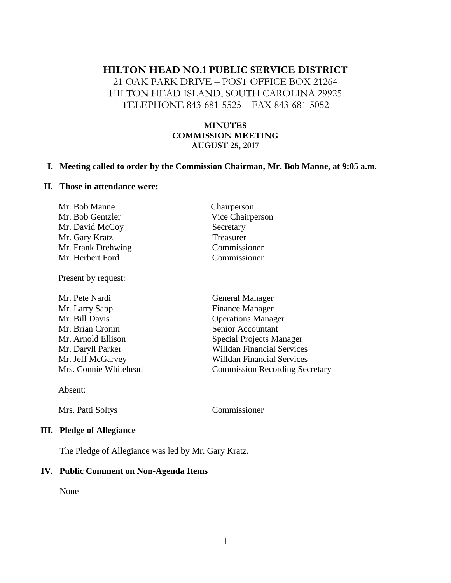# **HILTON HEAD NO.1 PUBLIC SERVICE DISTRICT**

21 OAK PARK DRIVE – POST OFFICE BOX 21264 HILTON HEAD ISLAND, SOUTH CAROLINA 29925 TELEPHONE 843-681-5525 – FAX 843-681-5052

### **MINUTES COMMISSION MEETING AUGUST 25, 2017**

#### **I. Meeting called to order by the Commission Chairman, Mr. Bob Manne, at 9:05 a.m.**

#### **II. Those in attendance were:**

| Mr. Bob Manne      | Chairperson      |
|--------------------|------------------|
| Mr. Bob Gentzler   | Vice Chairperson |
| Mr. David McCoy    | Secretary        |
| Mr. Gary Kratz     | Treasurer        |
| Mr. Frank Drehwing | Commissioner     |
| Mr. Herbert Ford   | Commissioner     |

Present by request:

| Mr. Pete Nardi        | <b>General Manager</b>                |
|-----------------------|---------------------------------------|
| Mr. Larry Sapp        | Finance Manager                       |
| Mr. Bill Davis        | <b>Operations Manager</b>             |
| Mr. Brian Cronin      | Senior Accountant                     |
| Mr. Arnold Ellison    | <b>Special Projects Manager</b>       |
| Mr. Daryll Parker     | <b>Willdan Financial Services</b>     |
| Mr. Jeff McGarvey     | <b>Willdan Financial Services</b>     |
| Mrs. Connie Whitehead | <b>Commission Recording Secretary</b> |
|                       |                                       |

Absent:

Mrs. Patti Soltys Commissioner

### **III. Pledge of Allegiance**

The Pledge of Allegiance was led by Mr. Gary Kratz.

#### **IV. Public Comment on Non-Agenda Items**

None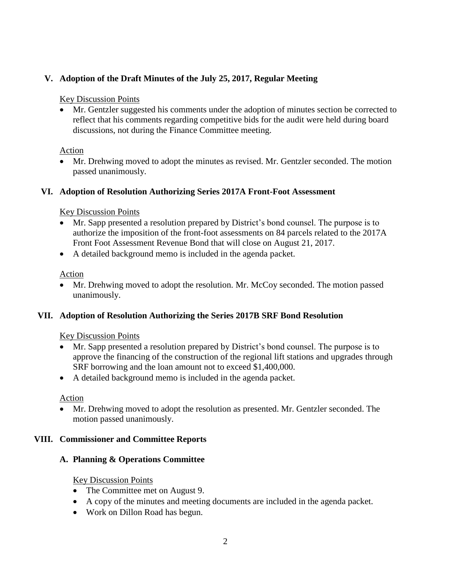# **V. Adoption of the Draft Minutes of the July 25, 2017, Regular Meeting**

#### Key Discussion Points

• Mr. Gentzler suggested his comments under the adoption of minutes section be corrected to reflect that his comments regarding competitive bids for the audit were held during board discussions, not during the Finance Committee meeting.

#### Action

• Mr. Drehwing moved to adopt the minutes as revised. Mr. Gentzler seconded. The motion passed unanimously.

### **VI. Adoption of Resolution Authorizing Series 2017A Front-Foot Assessment**

#### Key Discussion Points

- Mr. Sapp presented a resolution prepared by District's bond counsel. The purpose is to authorize the imposition of the front-foot assessments on 84 parcels related to the 2017A Front Foot Assessment Revenue Bond that will close on August 21, 2017.
- A detailed background memo is included in the agenda packet.

Action

• Mr. Drehwing moved to adopt the resolution. Mr. McCoy seconded. The motion passed unanimously.

### **VII. Adoption of Resolution Authorizing the Series 2017B SRF Bond Resolution**

### Key Discussion Points

- Mr. Sapp presented a resolution prepared by District's bond counsel. The purpose is to approve the financing of the construction of the regional lift stations and upgrades through SRF borrowing and the loan amount not to exceed \$1,400,000.
- A detailed background memo is included in the agenda packet.

### Action

• Mr. Drehwing moved to adopt the resolution as presented. Mr. Gentzler seconded. The motion passed unanimously.

### **VIII. Commissioner and Committee Reports**

### **A. Planning & Operations Committee**

#### Key Discussion Points

- The Committee met on August 9.
- A copy of the minutes and meeting documents are included in the agenda packet.
- Work on Dillon Road has begun.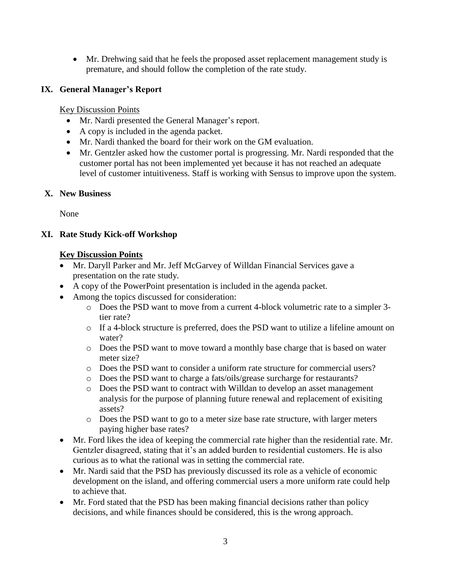• Mr. Drehwing said that he feels the proposed asset replacement management study is premature, and should follow the completion of the rate study.

# **IX. General Manager's Report**

Key Discussion Points

- Mr. Nardi presented the General Manager's report.
- A copy is included in the agenda packet.
- Mr. Nardi thanked the board for their work on the GM evaluation.
- Mr. Gentzler asked how the customer portal is progressing. Mr. Nardi responded that the customer portal has not been implemented yet because it has not reached an adequate level of customer intuitiveness. Staff is working with Sensus to improve upon the system.

## **X. New Business**

None

# **XI. Rate Study Kick-off Workshop**

# **Key Discussion Points**

- Mr. Daryll Parker and Mr. Jeff McGarvey of Willdan Financial Services gave a presentation on the rate study.
- A copy of the PowerPoint presentation is included in the agenda packet.
- Among the topics discussed for consideration:
	- o Does the PSD want to move from a current 4-block volumetric rate to a simpler 3 tier rate?
	- o If a 4-block structure is preferred, does the PSD want to utilize a lifeline amount on water?
	- o Does the PSD want to move toward a monthly base charge that is based on water meter size?
	- o Does the PSD want to consider a uniform rate structure for commercial users?
	- o Does the PSD want to charge a fats/oils/grease surcharge for restaurants?
	- o Does the PSD want to contract with Willdan to develop an asset management analysis for the purpose of planning future renewal and replacement of exisiting assets?
	- o Does the PSD want to go to a meter size base rate structure, with larger meters paying higher base rates?
- Mr. Ford likes the idea of keeping the commercial rate higher than the residential rate. Mr. Gentzler disagreed, stating that it's an added burden to residential customers. He is also curious as to what the rational was in setting the commercial rate.
- Mr. Nardi said that the PSD has previously discussed its role as a vehicle of economic development on the island, and offering commercial users a more uniform rate could help to achieve that.
- Mr. Ford stated that the PSD has been making financial decisions rather than policy decisions, and while finances should be considered, this is the wrong approach.